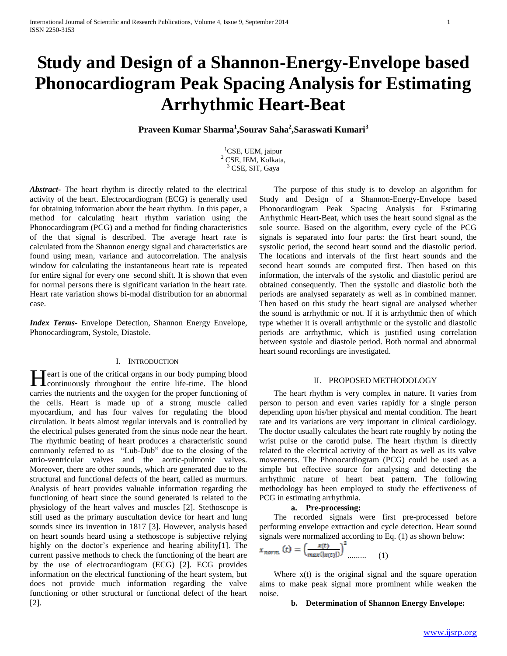# **Study and Design of a Shannon-Energy-Envelope based Phonocardiogram Peak Spacing Analysis for Estimating Arrhythmic Heart-Beat**

**Praveen Kumar Sharma<sup>1</sup> ,Sourav Saha<sup>2</sup> ,Saraswati Kumari<sup>3</sup>**

<sup>1</sup>CSE, UEM, jaipur <sup>2</sup> CSE, IEM, Kolkata, <sup>3</sup> CSE, SIT, Gaya

*Abstract***-** The heart rhythm is directly related to the electrical activity of the heart. Electrocardiogram (ECG) is generally used for obtaining information about the heart rhythm. In this paper, a method for calculating heart rhythm variation using the Phonocardiogram (PCG) and a method for finding characteristics of the that signal is described. The average heart rate is calculated from the Shannon energy signal and characteristics are found using mean, variance and autocorrelation. The analysis window for calculating the instantaneous heart rate is repeated for entire signal for every one second shift. It is shown that even for normal persons there is significant variation in the heart rate. Heart rate variation shows bi-modal distribution for an abnormal case.

*Index Terms*- Envelope Detection, Shannon Energy Envelope, Phonocardiogram, Systole, Diastole.

## I. INTRODUCTION

eart is one of the critical organs in our body pumping blood Heart is one of the critical organs in our body pumping blood continuously throughout the entire life-time. The blood carries the nutrients and the oxygen for the proper functioning of the cells. Heart is made up of a strong muscle called myocardium, and has four valves for regulating the blood circulation. It beats almost regular intervals and is controlled by the electrical pulses generated from the sinus node near the heart. The rhythmic beating of heart produces a characteristic sound commonly referred to as "Lub-Dub" due to the closing of the atrio-ventricular valves and the aortic-pulmonic valves. Moreover, there are other sounds, which are generated due to the structural and functional defects of the heart, called as murmurs. Analysis of heart provides valuable information regarding the functioning of heart since the sound generated is related to the physiology of the heart valves and muscles [2]. Stethoscope is still used as the primary auscultation device for heart and lung sounds since its invention in 1817 [3]. However, analysis based on heart sounds heard using a stethoscope is subjective relying highly on the doctor's experience and hearing ability[1]. The current passive methods to check the functioning of the heart are by the use of electrocardiogram (ECG) [2]. ECG provides information on the electrical functioning of the heart system, but does not provide much information regarding the valve functioning or other structural or functional defect of the heart [2].

 The purpose of this study is to develop an algorithm for Study and Design of a Shannon-Energy-Envelope based Phonocardiogram Peak Spacing Analysis for Estimating Arrhythmic Heart-Beat, which uses the heart sound signal as the sole source. Based on the algorithm, every cycle of the PCG signals is separated into four parts: the first heart sound, the systolic period, the second heart sound and the diastolic period. The locations and intervals of the first heart sounds and the second heart sounds are computed first. Then based on this information, the intervals of the systolic and diastolic period are obtained consequently. Then the systolic and diastolic both the periods are analysed separately as well as in combined manner. Then based on this study the heart signal are analysed whether the sound is arrhythmic or not. If it is arrhythmic then of which type whether it is overall arrhythmic or the systolic and diastolic periods are arrhythmic, which is justified using correlation between systole and diastole period. Both normal and abnormal heart sound recordings are investigated.

## II. PROPOSED METHODOLOGY

 The heart rhythm is very complex in nature. It varies from person to person and even varies rapidly for a single person depending upon his/her physical and mental condition. The heart rate and its variations are very important in clinical cardiology. The doctor usually calculates the heart rate roughly by noting the wrist pulse or the carotid pulse. The heart rhythm is directly related to the electrical activity of the heart as well as its valve movements. The Phonocardiogram (PCG) could be used as a simple but effective source for analysing and detecting the arrhythmic nature of heart beat pattern. The following methodology has been employed to study the effectiveness of PCG in estimating arrhythmia.

#### **a. Pre-processing:**

 The recorded signals were first pre-processed before performing envelope extraction and cycle detection. Heart sound signals were normalized according to Eq. (1) as shown below:

$$
x_{norm}(t) = \left(\frac{x(t)}{max(|x(t)|)}\right)^2 \dots \dots \tag{1}
$$

Where  $x(t)$  is the original signal and the square operation aims to make peak signal more prominent while weaken the noise.

#### **b. Determination of Shannon Energy Envelope:**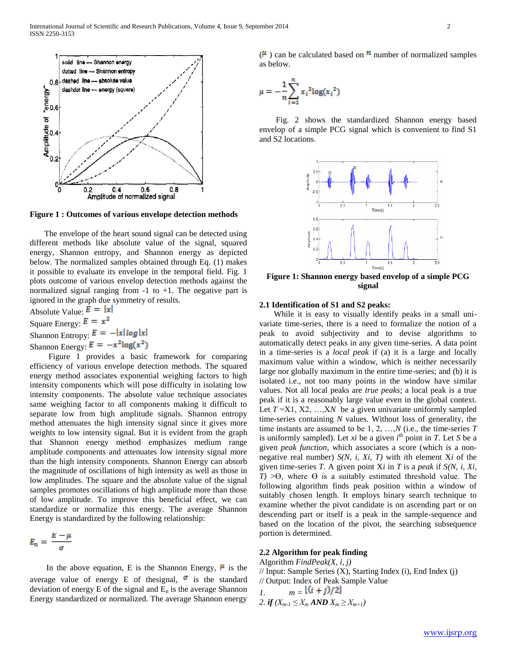

**Figure 1 : Outcomes of various envelope detection methods**

 The envelope of the heart sound signal can be detected using different methods like absolute value of the signal, squared energy, Shannon entropy, and Shannon energy as depicted below. The normalized samples obtained through Eq. (1) makes it possible to evaluate its envelope in the temporal field. Fig. 1 plots outcome of various envelop detection methods against the normalized signal ranging from  $-1$  to  $+1$ . The negative part is ignored in the graph due symmetry of results.

Absolute Value:  $\mathbf{E} = |\mathbf{x}|$ Square Energy:  $E = x^2$ 

Shannon Entropy:  $E = -|x| \log |x|$ 

Shannon Energy:  $E = -x^2 \log(x^2)$ 

 Figure 1 provides a basic framework for comparing efficiency of various envelope detection methods. The squared energy method associates exponential weighing factors to high intensity components which will pose difficulty in isolating low intensity components. The absolute value technique associates same weighing factor to all components making it difficult to separate low from high amplitude signals. Shannon entropy method attenuates the high intensity signal since it gives more weights to low intensity signal. But it is evident from the graph that Shannon energy method emphasizes medium range amplitude components and attenuates low intensity signal more than the high intensity components. Shannon Energy can absorb the magnitude of oscillations of high intensity as well as those in low amplitudes. The square and the absolute value of the signal samples promotes oscillations of high amplitude more than those of low amplitude. To improve this beneficial effect, we can standardize or normalize this energy. The average Shannon Energy is standardized by the following relationship:

$$
E_n = \frac{E - \mu}{\sigma}
$$

In the above equation, E is the Shannon Energy,  $\mu$  is the average value of energy E of thesignal,  $\sigma$  is the standard deviation of energy  $E$  of the signal and  $E_n$  is the average Shannon Energy standardized or normalized. The average Shannon energy

 $(\mu)$  can be calculated based on  $\mu$  number of normalized samples as below.

$$
\mu = -\frac{1}{n} \sum_{i=1}^{n} x_i^2 \log(x_i^2)
$$

 Fig. 2 shows the standardized Shannon energy based envelop of a simple PCG signal which is convenient to find S1 and S2 locations.



**Figure 1: Shannon energy based envelop of a simple PCG signal**

# **2.1 Identification of S1 and S2 peaks:**

 While it is easy to visually identify peaks in a small univariate time-series, there is a need to formalize the notion of a peak to avoid subjectivity and to devise algorithms to automatically detect peaks in any given time-series. A data point in a time-series is a *local peak* if (a) it is a large and locally maximum value within a window, which is neither necessarily large nor globally maximum in the entire time-series; and (b) it is isolated i.e., not too many points in the window have similar values. Not all local peaks are *true peaks*; a local peak is a true peak if it is a reasonably large value even in the global context. Let  $T = X1, X2, \ldots, XN$  be a given univariate uniformly sampled time-series containing *N* values. Without loss of generality, the time instants are assumed to be 1, 2, …,*N* (i.e., the time-series *T*  is uniformly sampled). Let *xi* be a given  $i^{\text{th}}$  point in *T*. Let *S* be a given *peak function*, which associates a score (which is a nonnegative real number) *S(N, i, Xi, T)* with *i*th element X*i* of the given time-series *T*. A given point X*i* in *T* is a *peak* if *S(N, i, Xi,*   $T$ )  $> \Theta$ , where  $\Theta$  is a suitably estimated threshold value. The following algorithm finds peak position within a window of suitably chosen length. It employs binary search technique to examine whether the pivot candidate is on ascending part or on descending part or itself is a peak in the sample-sequence and based on the location of the pivot, the searching subsequence portion is determined.

# **2.2 Algorithm for peak finding**

Algorithm *FindPeak(X, i, j)*  $//$  Input: Sample Series  $(X)$ , Starting Index  $(i)$ , End Index  $(i)$ // Output: Index of Peak Sample Value *1.*  $m = \frac{(i+j)}{2}$ 

$$
2. if (X_{m-1} \leq X_m \textbf{AND} X_m \geq X_{m+1})
$$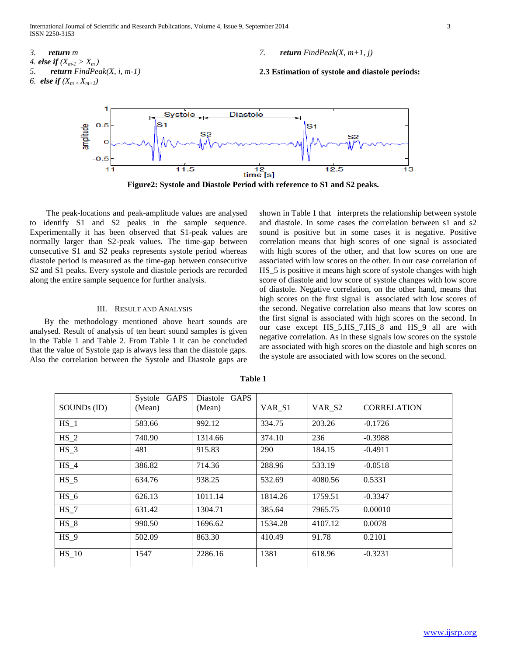International Journal of Scientific and Research Publications, Volume 4, Issue 9, September 2014 3 ISSN 2250-3153

- *3. return m 4. else if*  $(X_{m-1} > X_m)$ *5. return FindPeak(X, i, m-1) 6. <i>else if*  $(X_m, X_{m+1})$
- *7. return FindPeak(X, m+1, j)*

**2.3 Estimation of systole and diastole periods:**



**Figure2: Systole and Diastole Period with reference to S1 and S2 peaks.**

 The peak-locations and peak-amplitude values are analysed to identify S1 and S2 peaks in the sample sequence. Experimentally it has been observed that S1-peak values are normally larger than S2-peak values. The time-gap between consecutive S1 and S2 peaks represents systole period whereas diastole period is measured as the time-gap between consecutive S2 and S1 peaks. Every systole and diastole periods are recorded along the entire sample sequence for further analysis.

## III. RESULT AND ANALYSIS

By the methodology mentioned above heart sounds are analysed. Result of analysis of ten heart sound samples is given in the Table 1 and Table 2. From Table 1 it can be concluded that the value of Systole gap is always less than the diastole gaps. Also the correlation between the Systole and Diastole gaps are

shown in Table 1 that interprets the relationship between systole and diastole. In some cases the correlation between s1 and s2 sound is positive but in some cases it is negative. Positive correlation means that high scores of one signal is associated with high scores of the other, and that low scores on one are associated with low scores on the other. In our case correlation of HS\_5 is positive it means high score of systole changes with high score of diastole and low score of systole changes with low score of diastole. Negative correlation, on the other hand, means that high scores on the first signal is associated with low scores of the second. Negative correlation also means that low scores on the first signal is associated with high scores on the second. In our case except HS\_5,HS\_7,HS\_8 and HS\_9 all are with negative correlation. As in these signals low scores on the systole are associated with high scores on the diastole and high scores on the systole are associated with low scores on the second.

| SOUNDs (ID) | <b>GAPS</b><br>Systole<br>(Mean) | Diastole<br><b>GAPS</b><br>(Mean) | VAR S1  | VAR_S2  | <b>CORRELATION</b> |
|-------------|----------------------------------|-----------------------------------|---------|---------|--------------------|
| $HS_1$      | 583.66                           | 992.12                            | 334.75  | 203.26  | $-0.1726$          |
| $HS_2$      | 740.90                           | 1314.66                           | 374.10  | 236     | $-0.3988$          |
| $HS_3$      | 481                              | 915.83                            | 290     | 184.15  | $-0.4911$          |
| $HS_4$      | 386.82                           | 714.36                            | 288.96  | 533.19  | $-0.0518$          |
| $HS$ 5      | 634.76                           | 938.25                            | 532.69  | 4080.56 | 0.5331             |
| $HS_6$      | 626.13                           | 1011.14                           | 1814.26 | 1759.51 | $-0.3347$          |
| $HS_7$      | 631.42                           | 1304.71                           | 385.64  | 7965.75 | 0.00010            |
| HS 8        | 990.50                           | 1696.62                           | 1534.28 | 4107.12 | 0.0078             |
| HS 9        | 502.09                           | 863.30                            | 410.49  | 91.78   | 0.2101             |
| $HS_10$     | 1547                             | 2286.16                           | 1381    | 618.96  | $-0.3231$          |

**Table 1**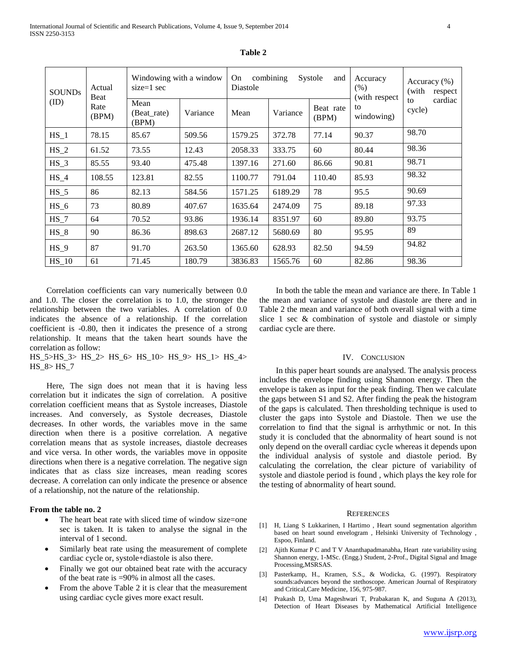| <b>SOUNDs</b><br>(ID) | Actual<br>Beat<br>Rate<br>(BPM) | Windowing with a window<br>$size=1$ sec |          | combining<br><b>On</b><br>Systole<br>and<br>Diastole |          |                    | Accuracy<br>(% )<br>(with respect | Accuracy $(\% )$<br>(with<br>respect |
|-----------------------|---------------------------------|-----------------------------------------|----------|------------------------------------------------------|----------|--------------------|-----------------------------------|--------------------------------------|
|                       |                                 | Mean<br>(Beat rate)<br>(BPM)            | Variance | Mean                                                 | Variance | Beat rate<br>(BPM) | to<br>windowing)                  | cardiac<br>to<br>cycle)              |
| $HS_1$                | 78.15                           | 85.67                                   | 509.56   | 1579.25                                              | 372.78   | 77.14              | 90.37                             | 98.70                                |
| $HS_2$                | 61.52                           | 73.55                                   | 12.43    | 2058.33                                              | 333.75   | 60                 | 80.44                             | 98.36                                |
| $HS_3$                | 85.55                           | 93.40                                   | 475.48   | 1397.16                                              | 271.60   | 86.66              | 90.81                             | 98.71                                |
| $HS_4$                | 108.55                          | 123.81                                  | 82.55    | 1100.77                                              | 791.04   | 110.40             | 85.93                             | 98.32                                |
| $HS_5$                | 86                              | 82.13                                   | 584.56   | 1571.25                                              | 6189.29  | 78                 | 95.5                              | 90.69                                |
| $HS_6$                | 73                              | 80.89                                   | 407.67   | 1635.64                                              | 2474.09  | 75                 | 89.18                             | 97.33                                |
| $HS_7$                | 64                              | 70.52                                   | 93.86    | 1936.14                                              | 8351.97  | 60                 | 89.80                             | 93.75                                |
| $HS_8$                | 90                              | 86.36                                   | 898.63   | 2687.12                                              | 5680.69  | 80                 | 95.95                             | 89                                   |
| $HS_9$                | 87                              | 91.70                                   | 263.50   | 1365.60                                              | 628.93   | 82.50              | 94.59                             | 94.82                                |
| $HS_10$               | 61                              | 71.45                                   | 180.79   | 3836.83                                              | 1565.76  | 60                 | 82.86                             | 98.36                                |

**Table 2**

 Correlation coefficients can vary numerically between 0.0 and 1.0. The closer the correlation is to 1.0, the stronger the relationship between the two variables. A correlation of 0.0 indicates the absence of a relationship. If the correlation coefficient is -0.80, then it indicates the presence of a strong relationship. It means that the taken heart sounds have the correlation as follow:

HS\_5>HS\_3> HS\_2> HS\_6> HS\_10> HS\_9> HS\_1> HS\_4> HS  $8 >$  HS  $7$ 

 Here, The sign does not mean that it is having less correlation but it indicates the sign of correlation. A positive correlation coefficient means that as Systole increases, Diastole increases. And conversely, as Systole decreases, Diastole decreases. In other words, the variables move in the same direction when there is a positive correlation. A negative correlation means that as systole increases, diastole decreases and vice versa. In other words, the variables move in opposite directions when there is a negative correlation. The negative sign indicates that as class size increases, mean reading scores decrease. A correlation can only indicate the presence or absence of a relationship, not the nature of the relationship.

# **From the table no. 2**

- The heart beat rate with sliced time of window size=one sec is taken. It is taken to analyse the signal in the interval of 1 second.
- Similarly beat rate using the measurement of complete cardiac cycle or, systole+diastole is also there.
- Finally we got our obtained beat rate with the accuracy of the beat rate is =90% in almost all the cases.
- From the above Table 2 it is clear that the measurement using cardiac cycle gives more exact result.

 In both the table the mean and variance are there. In Table 1 the mean and variance of systole and diastole are there and in Table 2 the mean and variance of both overall signal with a time slice 1 sec & combination of systole and diastole or simply cardiac cycle are there.

## IV. CONCLUSION

 In this paper heart sounds are analysed. The analysis process includes the envelope finding using Shannon energy. Then the envelope is taken as input for the peak finding. Then we calculate the gaps between S1 and S2. After finding the peak the histogram of the gaps is calculated. Then thresholding technique is used to cluster the gaps into Systole and Diastole. Then we use the correlation to find that the signal is arrhythmic or not. In this study it is concluded that the abnormality of heart sound is not only depend on the overall cardiac cycle whereas it depends upon the individual analysis of systole and diastole period. By calculating the correlation, the clear picture of variability of systole and diastole period is found , which plays the key role for the testing of abnormality of heart sound.

#### **REFERENCES**

- [1] H, Liang S Lukkarinen, I Hartimo , Heart sound segmentation algorithm based on heart sound envelogram , Helsinki University of Technology , Espoo, Finland.
- [2] Ajith Kumar P C and T V Ananthapadmanabha, Heart rate variability using Shannon energy, 1-MSc. (Engg.) Student, 2-Prof., Digital Signal and Image Processing,MSRSAS.
- [3] Pasterkamp, H., Kramen, S.S., & Wodicka, G. (1997). Respiratory sounds:advances beyond the stethoscope. American Journal of Respiratory and Critical,Care Medicine, 156, 975-987.
- [4] Prakash D, Uma Mageshwari T, Prabakaran K, and Suguna A (2013), Detection of Heart Diseases by Mathematical Artificial Intelligence